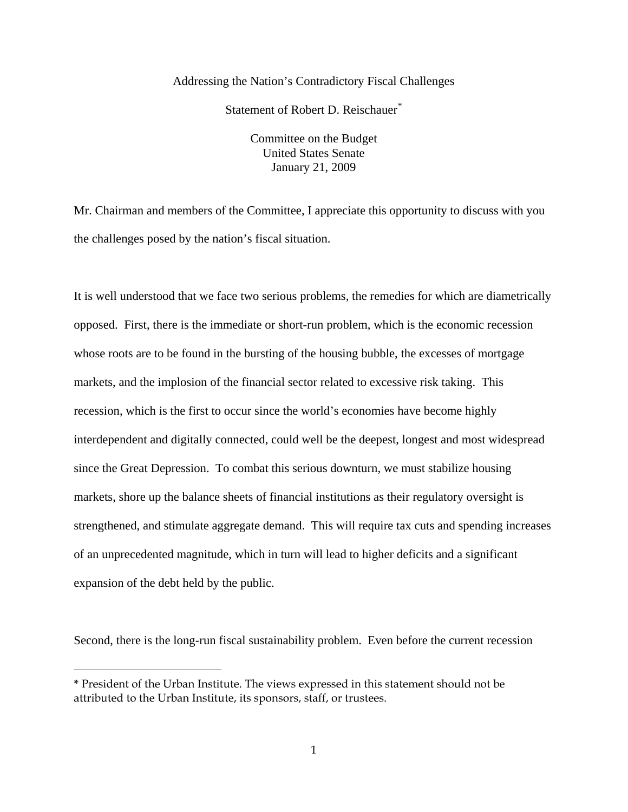## Addressing the Nation's Contradictory Fiscal Challenges

Statement of Robert D. Reischauer<sup>[\\*](#page-0-0)</sup>

Committee on the Budget United States Senate January 21, 2009

Mr. Chairman and members of the Committee, I appreciate this opportunity to discuss with you the challenges posed by the nation's fiscal situation.

It is well understood that we face two serious problems, the remedies for which are diametrically opposed. First, there is the immediate or short-run problem, which is the economic recession whose roots are to be found in the bursting of the housing bubble, the excesses of mortgage markets, and the implosion of the financial sector related to excessive risk taking. This recession, which is the first to occur since the world's economies have become highly interdependent and digitally connected, could well be the deepest, longest and most widespread since the Great Depression. To combat this serious downturn, we must stabilize housing markets, shore up the balance sheets of financial institutions as their regulatory oversight is strengthened, and stimulate aggregate demand. This will require tax cuts and spending increases of an unprecedented magnitude, which in turn will lead to higher deficits and a significant expansion of the debt held by the public.

Second, there is the long-run fiscal sustainability problem. Even before the current recession

 $\overline{a}$ 

<span id="page-0-0"></span>**<sup>\*</sup>** President of the Urban Institute. The views expressed in this statement should not be attributed to the Urban Institute, its sponsors, staff, or trustees.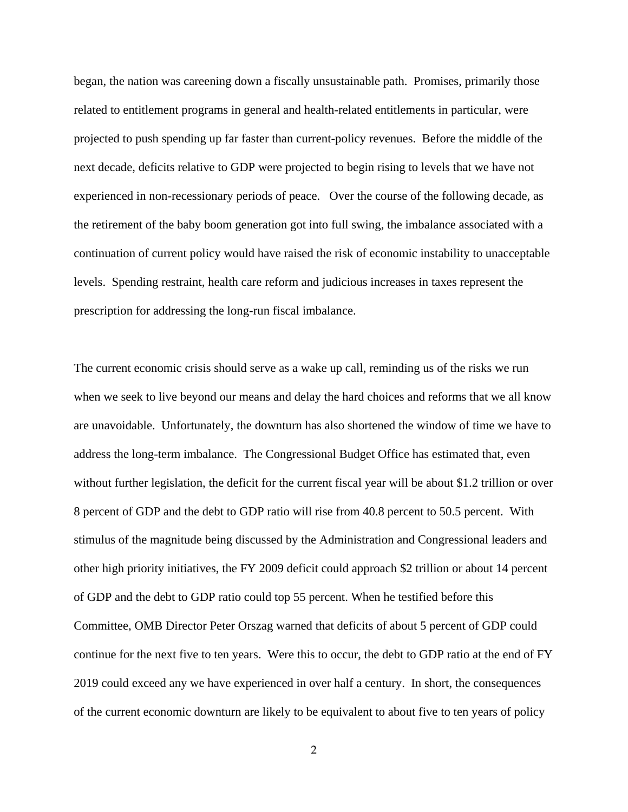began, the nation was careening down a fiscally unsustainable path. Promises, primarily those related to entitlement programs in general and health-related entitlements in particular, were projected to push spending up far faster than current-policy revenues. Before the middle of the next decade, deficits relative to GDP were projected to begin rising to levels that we have not experienced in non-recessionary periods of peace. Over the course of the following decade, as the retirement of the baby boom generation got into full swing, the imbalance associated with a continuation of current policy would have raised the risk of economic instability to unacceptable levels. Spending restraint, health care reform and judicious increases in taxes represent the prescription for addressing the long-run fiscal imbalance.

The current economic crisis should serve as a wake up call, reminding us of the risks we run when we seek to live beyond our means and delay the hard choices and reforms that we all know are unavoidable. Unfortunately, the downturn has also shortened the window of time we have to address the long-term imbalance. The Congressional Budget Office has estimated that, even without further legislation, the deficit for the current fiscal year will be about \$1.2 trillion or over 8 percent of GDP and the debt to GDP ratio will rise from 40.8 percent to 50.5 percent. With stimulus of the magnitude being discussed by the Administration and Congressional leaders and other high priority initiatives, the FY 2009 deficit could approach \$2 trillion or about 14 percent of GDP and the debt to GDP ratio could top 55 percent. When he testified before this Committee, OMB Director Peter Orszag warned that deficits of about 5 percent of GDP could continue for the next five to ten years. Were this to occur, the debt to GDP ratio at the end of FY 2019 could exceed any we have experienced in over half a century. In short, the consequences of the current economic downturn are likely to be equivalent to about five to ten years of policy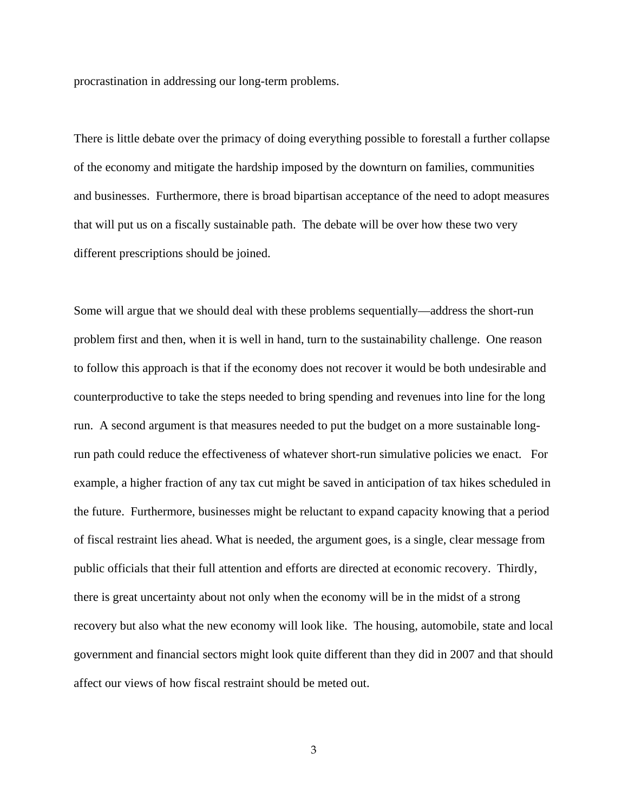procrastination in addressing our long-term problems.

There is little debate over the primacy of doing everything possible to forestall a further collapse of the economy and mitigate the hardship imposed by the downturn on families, communities and businesses. Furthermore, there is broad bipartisan acceptance of the need to adopt measures that will put us on a fiscally sustainable path. The debate will be over how these two very different prescriptions should be joined.

Some will argue that we should deal with these problems sequentially—address the short-run problem first and then, when it is well in hand, turn to the sustainability challenge. One reason to follow this approach is that if the economy does not recover it would be both undesirable and counterproductive to take the steps needed to bring spending and revenues into line for the long run. A second argument is that measures needed to put the budget on a more sustainable longrun path could reduce the effectiveness of whatever short-run simulative policies we enact. For example, a higher fraction of any tax cut might be saved in anticipation of tax hikes scheduled in the future. Furthermore, businesses might be reluctant to expand capacity knowing that a period of fiscal restraint lies ahead. What is needed, the argument goes, is a single, clear message from public officials that their full attention and efforts are directed at economic recovery. Thirdly, there is great uncertainty about not only when the economy will be in the midst of a strong recovery but also what the new economy will look like. The housing, automobile, state and local government and financial sectors might look quite different than they did in 2007 and that should affect our views of how fiscal restraint should be meted out.

3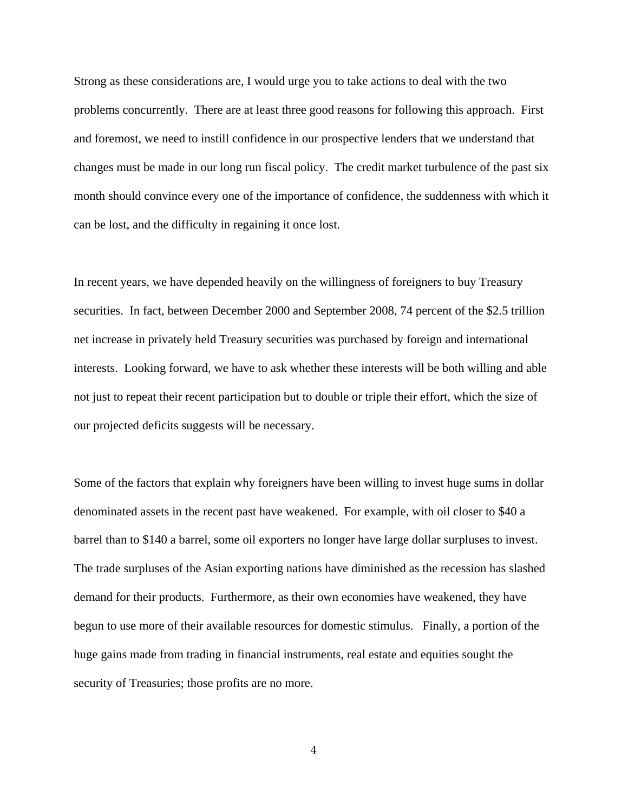Strong as these considerations are, I would urge you to take actions to deal with the two problems concurrently. There are at least three good reasons for following this approach. First and foremost, we need to instill confidence in our prospective lenders that we understand that changes must be made in our long run fiscal policy. The credit market turbulence of the past six month should convince every one of the importance of confidence, the suddenness with which it can be lost, and the difficulty in regaining it once lost.

In recent years, we have depended heavily on the willingness of foreigners to buy Treasury securities. In fact, between December 2000 and September 2008, 74 percent of the \$2.5 trillion net increase in privately held Treasury securities was purchased by foreign and international interests. Looking forward, we have to ask whether these interests will be both willing and able not just to repeat their recent participation but to double or triple their effort, which the size of our projected deficits suggests will be necessary.

Some of the factors that explain why foreigners have been willing to invest huge sums in dollar denominated assets in the recent past have weakened. For example, with oil closer to \$40 a barrel than to \$140 a barrel, some oil exporters no longer have large dollar surpluses to invest. The trade surpluses of the Asian exporting nations have diminished as the recession has slashed demand for their products. Furthermore, as their own economies have weakened, they have begun to use more of their available resources for domestic stimulus. Finally, a portion of the huge gains made from trading in financial instruments, real estate and equities sought the security of Treasuries; those profits are no more.

4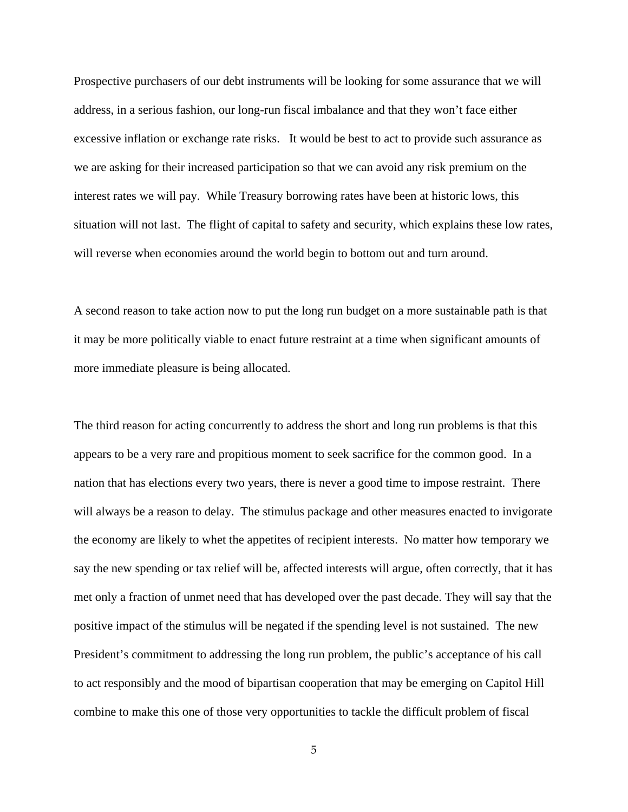Prospective purchasers of our debt instruments will be looking for some assurance that we will address, in a serious fashion, our long-run fiscal imbalance and that they won't face either excessive inflation or exchange rate risks. It would be best to act to provide such assurance as we are asking for their increased participation so that we can avoid any risk premium on the interest rates we will pay. While Treasury borrowing rates have been at historic lows, this situation will not last. The flight of capital to safety and security, which explains these low rates, will reverse when economies around the world begin to bottom out and turn around.

A second reason to take action now to put the long run budget on a more sustainable path is that it may be more politically viable to enact future restraint at a time when significant amounts of more immediate pleasure is being allocated.

The third reason for acting concurrently to address the short and long run problems is that this appears to be a very rare and propitious moment to seek sacrifice for the common good. In a nation that has elections every two years, there is never a good time to impose restraint. There will always be a reason to delay. The stimulus package and other measures enacted to invigorate the economy are likely to whet the appetites of recipient interests. No matter how temporary we say the new spending or tax relief will be, affected interests will argue, often correctly, that it has met only a fraction of unmet need that has developed over the past decade. They will say that the positive impact of the stimulus will be negated if the spending level is not sustained. The new President's commitment to addressing the long run problem, the public's acceptance of his call to act responsibly and the mood of bipartisan cooperation that may be emerging on Capitol Hill combine to make this one of those very opportunities to tackle the difficult problem of fiscal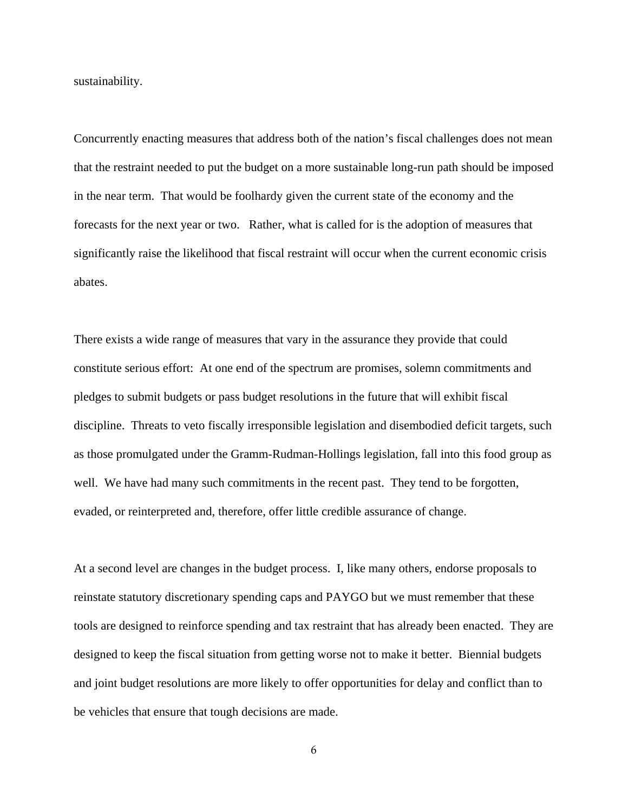sustainability.

Concurrently enacting measures that address both of the nation's fiscal challenges does not mean that the restraint needed to put the budget on a more sustainable long-run path should be imposed in the near term. That would be foolhardy given the current state of the economy and the forecasts for the next year or two. Rather, what is called for is the adoption of measures that significantly raise the likelihood that fiscal restraint will occur when the current economic crisis abates.

There exists a wide range of measures that vary in the assurance they provide that could constitute serious effort: At one end of the spectrum are promises, solemn commitments and pledges to submit budgets or pass budget resolutions in the future that will exhibit fiscal discipline. Threats to veto fiscally irresponsible legislation and disembodied deficit targets, such as those promulgated under the Gramm-Rudman-Hollings legislation, fall into this food group as well. We have had many such commitments in the recent past. They tend to be forgotten, evaded, or reinterpreted and, therefore, offer little credible assurance of change.

At a second level are changes in the budget process. I, like many others, endorse proposals to reinstate statutory discretionary spending caps and PAYGO but we must remember that these tools are designed to reinforce spending and tax restraint that has already been enacted. They are designed to keep the fiscal situation from getting worse not to make it better. Biennial budgets and joint budget resolutions are more likely to offer opportunities for delay and conflict than to be vehicles that ensure that tough decisions are made.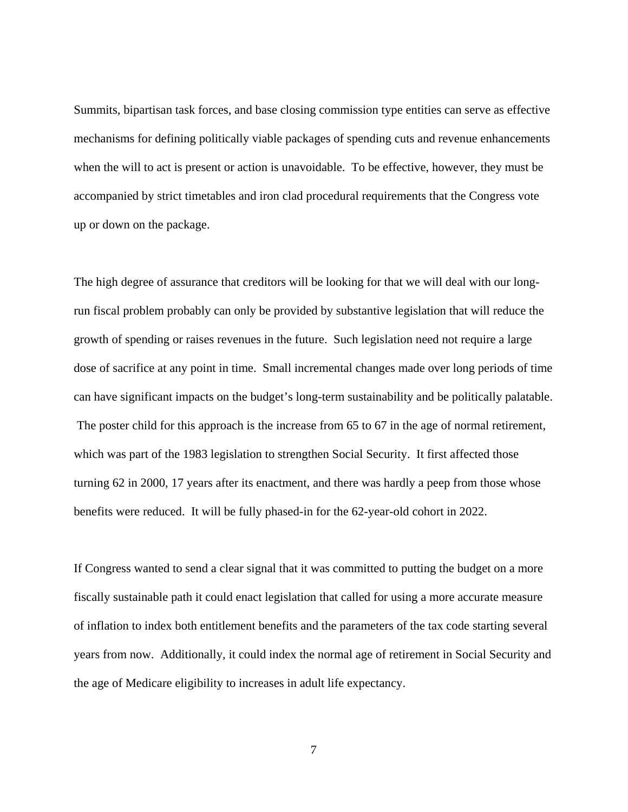Summits, bipartisan task forces, and base closing commission type entities can serve as effective mechanisms for defining politically viable packages of spending cuts and revenue enhancements when the will to act is present or action is unavoidable. To be effective, however, they must be accompanied by strict timetables and iron clad procedural requirements that the Congress vote up or down on the package.

The high degree of assurance that creditors will be looking for that we will deal with our longrun fiscal problem probably can only be provided by substantive legislation that will reduce the growth of spending or raises revenues in the future. Such legislation need not require a large dose of sacrifice at any point in time. Small incremental changes made over long periods of time can have significant impacts on the budget's long-term sustainability and be politically palatable. The poster child for this approach is the increase from 65 to 67 in the age of normal retirement, which was part of the 1983 legislation to strengthen Social Security. It first affected those turning 62 in 2000, 17 years after its enactment, and there was hardly a peep from those whose benefits were reduced. It will be fully phased-in for the 62-year-old cohort in 2022.

If Congress wanted to send a clear signal that it was committed to putting the budget on a more fiscally sustainable path it could enact legislation that called for using a more accurate measure of inflation to index both entitlement benefits and the parameters of the tax code starting several years from now. Additionally, it could index the normal age of retirement in Social Security and the age of Medicare eligibility to increases in adult life expectancy.